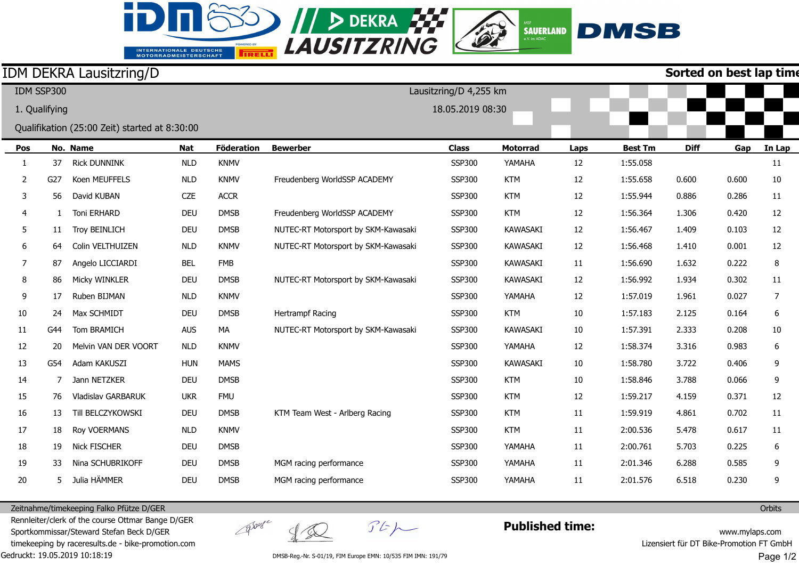## INTERNATIONALE DEUTSCHE<br>MOTORRADMEISTERSCHAFT

id.



## IDM DEKRA Lausitzring/D

**Sorted on best lap time**

|                                               | IDM SSP300    |              |                      |                   | Lausitzring/D 4,255 km |                                     |                 |                 |                |             |       |        |        |
|-----------------------------------------------|---------------|--------------|----------------------|-------------------|------------------------|-------------------------------------|-----------------|-----------------|----------------|-------------|-------|--------|--------|
|                                               | 1. Qualifying |              |                      |                   | 18.05.2019 08:30       |                                     |                 |                 |                |             |       |        |        |
| Qualifikation (25:00 Zeit) started at 8:30:00 |               |              |                      |                   |                        |                                     |                 |                 |                |             |       |        |        |
| No. Name<br>Nat<br>Pos                        |               |              |                      | <b>Föderation</b> | <b>Bewerber</b>        | <b>Class</b>                        | <b>Motorrad</b> | Laps            | <b>Best Tm</b> | <b>Diff</b> | Gap   | In Lap |        |
|                                               | 1             | 37           | <b>Rick DUNNINK</b>  | <b>NLD</b>        | <b>KNMV</b>            |                                     | <b>SSP300</b>   | YAMAHA          | 12             | 1:55.058    |       |        | 11     |
|                                               | 2             | G27          | Koen MEUFFELS        | <b>NLD</b>        | <b>KNMV</b>            | Freudenberg WorldSSP ACADEMY        | <b>SSP300</b>   | <b>KTM</b>      | 12             | 1:55.658    | 0.600 | 0.600  | $10\,$ |
|                                               | 3             | 56           | David KUBAN          | <b>CZE</b>        | <b>ACCR</b>            |                                     | <b>SSP300</b>   | <b>KTM</b>      | 12             | 1:55.944    | 0.886 | 0.286  | 11     |
|                                               | 4             | $\mathbf{1}$ | Toni ERHARD          | <b>DEU</b>        | <b>DMSB</b>            | Freudenberg WorldSSP ACADEMY        | <b>SSP300</b>   | <b>KTM</b>      | 12             | 1:56.364    | 1.306 | 0.420  | 12     |
|                                               | 5             | 11           | Troy BEINLICH        | <b>DEU</b>        | <b>DMSB</b>            | NUTEC-RT Motorsport by SKM-Kawasaki | <b>SSP300</b>   | <b>KAWASAKI</b> | 12             | 1:56.467    | 1.409 | 0.103  | 12     |
|                                               | 6             | 64           | Colin VELTHUIZEN     | <b>NLD</b>        | <b>KNMV</b>            | NUTEC-RT Motorsport by SKM-Kawasaki | <b>SSP300</b>   | <b>KAWASAKI</b> | 12             | 1:56.468    | 1.410 | 0.001  | 12     |
|                                               | 7             | 87           | Angelo LICCIARDI     | <b>BEL</b>        | <b>FMB</b>             |                                     | <b>SSP300</b>   | <b>KAWASAKI</b> | 11             | 1:56.690    | 1.632 | 0.222  | 8      |
|                                               | 8             | 86           | Micky WINKLER        | <b>DEU</b>        | <b>DMSB</b>            | NUTEC-RT Motorsport by SKM-Kawasaki | <b>SSP300</b>   | <b>KAWASAKI</b> | 12             | 1:56.992    | 1.934 | 0.302  | 11     |
|                                               | 9             | 17           | Ruben BIJMAN         | <b>NLD</b>        | <b>KNMV</b>            |                                     | <b>SSP300</b>   | YAMAHA          | 12             | 1:57.019    | 1.961 | 0.027  | 7      |
|                                               | 10            | 24           | Max SCHMIDT          | <b>DEU</b>        | <b>DMSB</b>            | <b>Hertrampf Racing</b>             | <b>SSP300</b>   | <b>KTM</b>      | 10             | 1:57.183    | 2.125 | 0.164  | $6\,$  |
|                                               | 11            | G44          | Tom BRAMICH          | <b>AUS</b>        | MA                     | NUTEC-RT Motorsport by SKM-Kawasaki | <b>SSP300</b>   | <b>KAWASAKI</b> | 10             | 1:57.391    | 2.333 | 0.208  | 10     |
|                                               | 12            | 20           | Melvin VAN DER VOORT | <b>NLD</b>        | <b>KNMV</b>            |                                     | <b>SSP300</b>   | YAMAHA          | 12             | 1:58.374    | 3.316 | 0.983  | 6      |
|                                               | 13            | G54          | Adam KAKUSZI         | <b>HUN</b>        | <b>MAMS</b>            |                                     | <b>SSP300</b>   | <b>KAWASAKI</b> | 10             | 1:58.780    | 3.722 | 0.406  | 9      |
|                                               | 14            | 7            | Jann NETZKER         | <b>DEU</b>        | <b>DMSB</b>            |                                     | <b>SSP300</b>   | <b>KTM</b>      | 10             | 1:58.846    | 3.788 | 0.066  | 9      |
|                                               | 15            | 76           | Vladislav GARBARUK   | <b>UKR</b>        | <b>FMU</b>             |                                     | <b>SSP300</b>   | <b>KTM</b>      | 12             | 1:59.217    | 4.159 | 0.371  | 12     |
|                                               | 16            | 13           | Till BELCZYKOWSKI    | <b>DEU</b>        | <b>DMSB</b>            | KTM Team West - Arlberg Racing      | <b>SSP300</b>   | <b>KTM</b>      | $11\,$         | 1:59.919    | 4.861 | 0.702  | 11     |
|                                               | 17            | 18           | Roy VOERMANS         | <b>NLD</b>        | <b>KNMV</b>            |                                     | <b>SSP300</b>   | <b>KTM</b>      | 11             | 2:00.536    | 5.478 | 0.617  | 11     |
|                                               | 18            | 19           | Nick FISCHER         | <b>DEU</b>        | <b>DMSB</b>            |                                     | <b>SSP300</b>   | YAMAHA          | 11             | 2:00.761    | 5.703 | 0.225  | 6      |
|                                               | 19            | 33           | Nina SCHUBRIKOFF     | <b>DEU</b>        | <b>DMSB</b>            | MGM racing performance              | <b>SSP300</b>   | YAMAHA          | 11             | 2:01.346    | 6.288 | 0.585  | 9      |
|                                               | 20            | 5.           | Julia HÄMMER         | <b>DEU</b>        | <b>DMSB</b>            | MGM racing performance              | <b>SSP300</b>   | YAMAHA          | 11             | 2:01.576    | 6.518 | 0.230  | 9      |
|                                               |               |              |                      |                   |                        |                                     |                 |                 |                |             |       |        |        |

Zeitnahme/timekeeping Falko Pfütze D/GER

Gedruckt: 19.05.2019 10:18:19 Rennleiter/clerk of the course Ottmar Bange D/GER Sportkommissar/Steward Stefan Beck D/GER timekeeping by raceresults.de - bike-promotion.com

 $y\propto$ 

groupe

 $\mathcal{F}E\mathcal{P}$ 

**Published time:**

www.mylaps.com Lizensiert für DT Bike-Promotion FT GmbH Page 1/2

**Orbits** 

DMSB-Reg.-Nr. S-01/19, FIM Europe EMN: 10/535 FIM IMN: 191/79